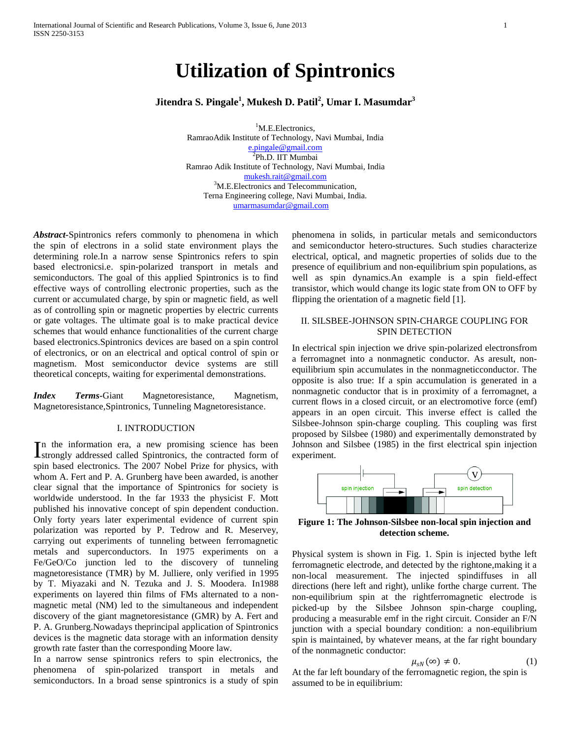# **Utilization of Spintronics**

# **Jitendra S. Pingale<sup>1</sup> , Mukesh D. Patil<sup>2</sup> , Umar I. Masumdar<sup>3</sup>**

<sup>1</sup>M.E.Electronics, RamraoAdik Institute of Technology, Navi Mumbai, India [e.pingale@gmail.com](mailto:e.pingale@gmail.com) <sup>2</sup>Ph.D. IIT Mumbai Ramrao Adik Institute of Technology, Navi Mumbai, India [mukesh.rait@gmail.com](mailto:mukesh.rait@gmail.com) <sup>3</sup>M.E.Electronics and Telecommunication, Terna Engineering college, Navi Mumbai, India. [umarmasumdar@gmail.com](mailto:umarmasumdar@gmail.com)

*Abstract-*Spintronics refers commonly to phenomena in which the spin of electrons in a solid state environment plays the determining role.In a narrow sense Spintronics refers to spin based electronicsi.e. spin-polarized transport in metals and semiconductors. The goal of this applied Spintronics is to find effective ways of controlling electronic properties, such as the current or accumulated charge, by spin or magnetic field, as well as of controlling spin or magnetic properties by electric currents or gate voltages. The ultimate goal is to make practical device schemes that would enhance functionalities of the current charge based electronics.Spintronics devices are based on a spin control of electronics, or on an electrical and optical control of spin or magnetism. Most semiconductor device systems are still theoretical concepts, waiting for experimental demonstrations.

*Index Terms-*Giant Magnetoresistance, Magnetism, Magnetoresistance,Spintronics, Tunneling Magnetoresistance.

#### I. INTRODUCTION

n the information era, a new promising science has been In the information era, a new promising science has been<br>Istrongly addressed called Spintronics, the contracted form of spin based electronics. The 2007 Nobel Prize for physics, with whom A. Fert and P. A. Grunberg have been awarded, is another clear signal that the importance of Spintronics for society is worldwide understood. In the far 1933 the physicist F. Mott published his innovative concept of spin dependent conduction. Only forty years later experimental evidence of current spin polarization was reported by P. Tedrow and R. Meservey, carrying out experiments of tunneling between ferromagnetic metals and superconductors. In 1975 experiments on a Fe/GeO/Co junction led to the discovery of tunneling magnetoresistance (TMR) by M. Julliere, only verified in 1995 by T. Miyazaki and N. Tezuka and J. S. Moodera. In1988 experiments on layered thin films of FMs alternated to a nonmagnetic metal (NM) led to the simultaneous and independent discovery of the giant magnetoresistance (GMR) by A. Fert and P. A. Grunberg.Nowadays theprincipal application of Spintronics devices is the magnetic data storage with an information density growth rate faster than the corresponding Moore law.

In a narrow sense spintronics refers to spin electronics, the phenomena of spin-polarized transport in metals and semiconductors. In a broad sense spintronics is a study of spin phenomena in solids, in particular metals and semiconductors and semiconductor hetero-structures. Such studies characterize electrical, optical, and magnetic properties of solids due to the presence of equilibrium and non-equilibrium spin populations, as well as spin dynamics.An example is a spin field-effect transistor, which would change its logic state from ON to OFF by flipping the orientation of a magnetic field [1].

# II. SILSBEE-JOHNSON SPIN-CHARGE COUPLING FOR SPIN DETECTION

In electrical spin injection we drive spin-polarized electronsfrom a ferromagnet into a nonmagnetic conductor. As aresult, nonequilibrium spin accumulates in the nonmagneticconductor. The opposite is also true: If a spin accumulation is generated in a nonmagnetic conductor that is in proximity of a ferromagnet, a current flows in a closed circuit, or an electromotive force (emf) appears in an open circuit. This inverse effect is called the Silsbee-Johnson spin-charge coupling. This coupling was first proposed by Silsbee (1980) and experimentally demonstrated by Johnson and Silsbee (1985) in the first electrical spin injection experiment.



**Figure 1: The Johnson-Silsbee non-local spin injection and detection scheme.**

Physical system is shown in Fig. 1. Spin is injected bythe left ferromagnetic electrode, and detected by the rightone,making it a non-local measurement. The injected spindiffuses in all directions (here left and right), unlike forthe charge current. The non-equilibrium spin at the rightferromagnetic electrode is picked-up by the Silsbee Johnson spin-charge coupling, producing a measurable emf in the right circuit. Consider an F/N junction with a special boundary condition: a non-equilibrium spin is maintained, by whatever means, at the far right boundary of the nonmagnetic conductor:

$$
\mu_{sN}(\infty) \neq 0. \tag{1}
$$

At the far left boundary of the ferromagnetic region, the spin is assumed to be in equilibrium: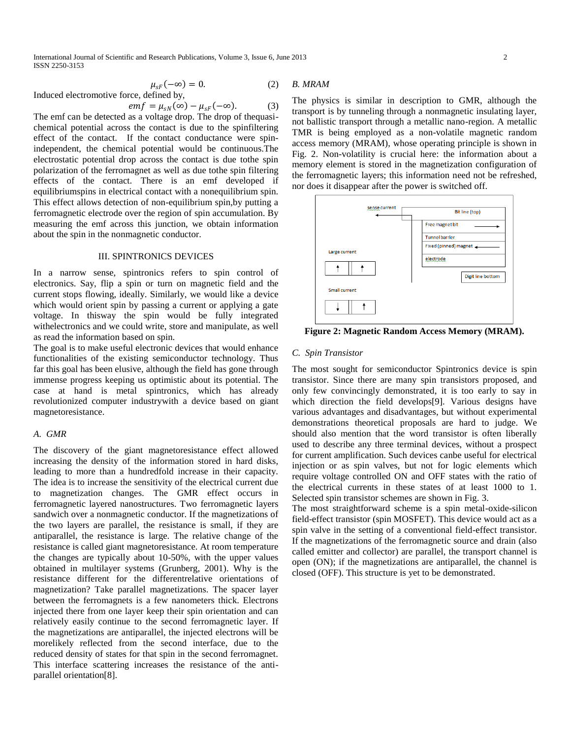International Journal of Scientific and Research Publications, Volume 3, Issue 6, June 2013 2 ISSN 2250-3153

$$
\mu_{sF}(-\infty) = 0. \tag{2} \qquad B
$$

Induced electromotive force, defined by,

$$
emf = \mu_{sN}(\infty) - \mu_{sF}(-\infty).
$$
 (3)

The emf can be detected as a voltage drop. The drop of thequasichemical potential across the contact is due to the spinfiltering effect of the contact. If the contact conductance were spinindependent, the chemical potential would be continuous.The electrostatic potential drop across the contact is due tothe spin polarization of the ferromagnet as well as due tothe spin filtering effects of the contact. There is an emf developed if equilibriumspins in electrical contact with a nonequilibrium spin. This effect allows detection of non-equilibrium spin,by putting a ferromagnetic electrode over the region of spin accumulation. By measuring the emf across this junction, we obtain information about the spin in the nonmagnetic conductor.

# III. SPINTRONICS DEVICES

In a narrow sense, spintronics refers to spin control of electronics. Say, flip a spin or turn on magnetic field and the current stops flowing, ideally. Similarly, we would like a device which would orient spin by passing a current or applying a gate voltage. In thisway the spin would be fully integrated withelectronics and we could write, store and manipulate, as well as read the information based on spin.

The goal is to make useful electronic devices that would enhance functionalities of the existing semiconductor technology. Thus far this goal has been elusive, although the field has gone through immense progress keeping us optimistic about its potential. The case at hand is metal spintronics, which has already revolutionized computer industrywith a device based on giant magnetoresistance.

#### *A. GMR*

The discovery of the giant magnetoresistance effect allowed increasing the density of the information stored in hard disks, leading to more than a hundredfold increase in their capacity. The idea is to increase the sensitivity of the electrical current due to magnetization changes. The GMR effect occurs in ferromagnetic layered nanostructures. Two ferromagnetic layers sandwich over a nonmagnetic conductor. If the magnetizations of the two layers are parallel, the resistance is small, if they are antiparallel, the resistance is large. The relative change of the resistance is called giant magnetoresistance. At room temperature the changes are typically about 10-50%, with the upper values obtained in multilayer systems (Grunberg, 2001). Why is the resistance different for the differentrelative orientations of magnetization? Take parallel magnetizations. The spacer layer between the ferromagnets is a few nanometers thick. Electrons injected there from one layer keep their spin orientation and can relatively easily continue to the second ferromagnetic layer. If the magnetizations are antiparallel, the injected electrons will be morelikely reflected from the second interface, due to the reduced density of states for that spin in the second ferromagnet. This interface scattering increases the resistance of the antiparallel orientation[8].

#### *B. MRAM*

The physics is similar in description to GMR, although the transport is by tunneling through a nonmagnetic insulating layer, not ballistic transport through a metallic nano-region. A metallic TMR is being employed as a non-volatile magnetic random access memory (MRAM), whose operating principle is shown in Fig. 2. Non-volatility is crucial here: the information about a memory element is stored in the magnetization configuration of the ferromagnetic layers; this information need not be refreshed, nor does it disappear after the power is switched off.



**Figure 2: Magnetic Random Access Memory (MRAM).**

#### *C. Spin Transistor*

The most sought for semiconductor Spintronics device is spin transistor. Since there are many spin transistors proposed, and only few convincingly demonstrated, it is too early to say in which direction the field develops[9]. Various designs have various advantages and disadvantages, but without experimental demonstrations theoretical proposals are hard to judge. We should also mention that the word transistor is often liberally used to describe any three terminal devices, without a prospect for current amplification. Such devices canbe useful for electrical injection or as spin valves, but not for logic elements which require voltage controlled ON and OFF states with the ratio of the electrical currents in these states of at least 1000 to 1. Selected spin transistor schemes are shown in Fig. 3.

The most straightforward scheme is a spin metal-oxide-silicon field-effect transistor (spin MOSFET). This device would act as a spin valve in the setting of a conventional field-effect transistor. If the magnetizations of the ferromagnetic source and drain (also called emitter and collector) are parallel, the transport channel is open (ON); if the magnetizations are antiparallel, the channel is closed (OFF). This structure is yet to be demonstrated.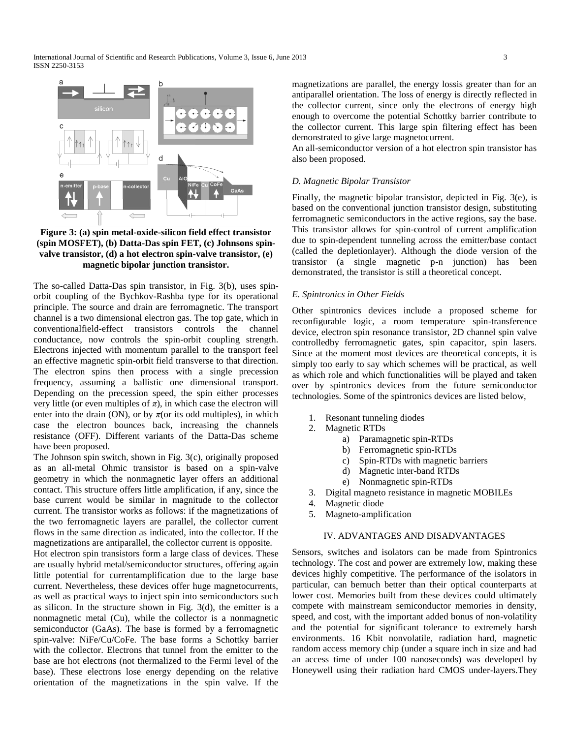

**Figure 3: (a) spin metal-oxide-silicon field effect transistor (spin MOSFET), (b) Datta-Das spin FET, (c) Johnsons spinvalve transistor, (d) a hot electron spin-valve transistor, (e) magnetic bipolar junction transistor.**

The so-called Datta-Das spin transistor, in Fig. 3(b), uses spinorbit coupling of the Bychkov-Rashba type for its operational principle. The source and drain are ferromagnetic. The transport channel is a two dimensional electron gas. The top gate, which in conventionalfield-effect transistors controls the channel conductance, now controls the spin-orbit coupling strength. Electrons injected with momentum parallel to the transport feel an effective magnetic spin-orbit field transverse to that direction. The electron spins then process with a single precession frequency, assuming a ballistic one dimensional transport. Depending on the precession speed, the spin either processes very little (or even multiples of  $\pi$ ), in which case the electron will enter into the drain (ON), or by  $\pi$ (or its odd multiples), in which case the electron bounces back, increasing the channels resistance (OFF). Different variants of the Datta-Das scheme have been proposed.

The Johnson spin switch, shown in Fig. 3(c), originally proposed as an all-metal Ohmic transistor is based on a spin-valve geometry in which the nonmagnetic layer offers an additional contact. This structure offers little amplification, if any, since the base current would be similar in magnitude to the collector current. The transistor works as follows: if the magnetizations of the two ferromagnetic layers are parallel, the collector current flows in the same direction as indicated, into the collector. If the magnetizations are antiparallel, the collector current is opposite.

Hot electron spin transistors form a large class of devices. These are usually hybrid metal/semiconductor structures, offering again little potential for currentamplification due to the large base current. Nevertheless, these devices offer huge magnetocurrents, as well as practical ways to inject spin into semiconductors such as silicon. In the structure shown in Fig. 3(d), the emitter is a nonmagnetic metal (Cu), while the collector is a nonmagnetic semiconductor (GaAs). The base is formed by a ferromagnetic spin-valve: NiFe/Cu/CoFe. The base forms a Schottky barrier with the collector. Electrons that tunnel from the emitter to the base are hot electrons (not thermalized to the Fermi level of the base). These electrons lose energy depending on the relative orientation of the magnetizations in the spin valve. If the

magnetizations are parallel, the energy lossis greater than for an antiparallel orientation. The loss of energy is directly reflected in the collector current, since only the electrons of energy high enough to overcome the potential Schottky barrier contribute to the collector current. This large spin filtering effect has been demonstrated to give large magnetocurrent.

An all-semiconductor version of a hot electron spin transistor has also been proposed.

#### *D. Magnetic Bipolar Transistor*

Finally, the magnetic bipolar transistor, depicted in Fig. 3(e), is based on the conventional junction transistor design, substituting ferromagnetic semiconductors in the active regions, say the base. This transistor allows for spin-control of current amplification due to spin-dependent tunneling across the emitter/base contact (called the depletionlayer). Although the diode version of the transistor (a single magnetic p-n junction) has been demonstrated, the transistor is still a theoretical concept.

#### *E. Spintronics in Other Fields*

Other spintronics devices include a proposed scheme for reconfigurable logic, a room temperature spin-transference device, electron spin resonance transistor, 2D channel spin valve controlledby ferromagnetic gates, spin capacitor, spin lasers. Since at the moment most devices are theoretical concepts, it is simply too early to say which schemes will be practical, as well as which role and which functionalities will be played and taken over by spintronics devices from the future semiconductor technologies. Some of the spintronics devices are listed below,

- 1. Resonant tunneling diodes
- 2. Magnetic RTDs
	- a) Paramagnetic spin-RTDs
	- b) Ferromagnetic spin-RTDs
	- c) Spin-RTDs with magnetic barriers
	- d) Magnetic inter-band RTDs
	- e) Nonmagnetic spin-RTDs
- 3. Digital magneto resistance in magnetic MOBILEs
- 4. Magnetic diode
- 5. Magneto-amplification

# IV. ADVANTAGES AND DISADVANTAGES

Sensors, switches and isolators can be made from Spintronics technology. The cost and power are extremely low, making these devices highly competitive. The performance of the isolators in particular, can bemuch better than their optical counterparts at lower cost. Memories built from these devices could ultimately compete with mainstream semiconductor memories in density, speed, and cost, with the important added bonus of non-volatility and the potential for significant tolerance to extremely harsh environments. 16 Kbit nonvolatile, radiation hard, magnetic random access memory chip (under a square inch in size and had an access time of under 100 nanoseconds) was developed by Honeywell using their radiation hard CMOS under-layers.They